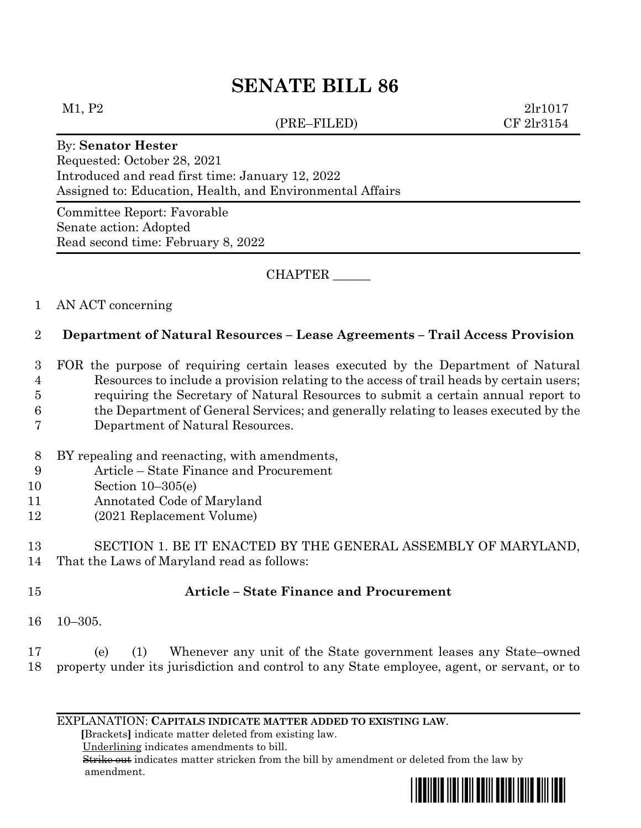# **SENATE BILL 86**

#### (PRE–FILED) CF 2lr3154

 $M1, P2$  2lr1017

#### By: **Senator Hester**

Requested: October 28, 2021 Introduced and read first time: January 12, 2022 Assigned to: Education, Health, and Environmental Affairs

Committee Report: Favorable Senate action: Adopted Read second time: February 8, 2022

CHAPTER \_\_\_\_\_\_

## 1 AN ACT concerning

## 2 **Department of Natural Resources – Lease Agreements – Trail Access Provision**

 FOR the purpose of requiring certain leases executed by the Department of Natural Resources to include a provision relating to the access of trail heads by certain users; requiring the Secretary of Natural Resources to submit a certain annual report to the Department of General Services; and generally relating to leases executed by the Department of Natural Resources.

- 8 BY repealing and reenacting, with amendments,
- 9 Article State Finance and Procurement
- 10 Section 10–305(e)
- 11 Annotated Code of Maryland
- 12 (2021 Replacement Volume)

13 SECTION 1. BE IT ENACTED BY THE GENERAL ASSEMBLY OF MARYLAND, 14 That the Laws of Maryland read as follows:

### 15 **Article – State Finance and Procurement**

16 10–305.

17 (e) (1) Whenever any unit of the State government leases any State–owned 18 property under its jurisdiction and control to any State employee, agent, or servant, or to

EXPLANATION: **CAPITALS INDICATE MATTER ADDED TO EXISTING LAW**.

 **[**Brackets**]** indicate matter deleted from existing law.

Underlining indicates amendments to bill.

 Strike out indicates matter stricken from the bill by amendment or deleted from the law by amendment.

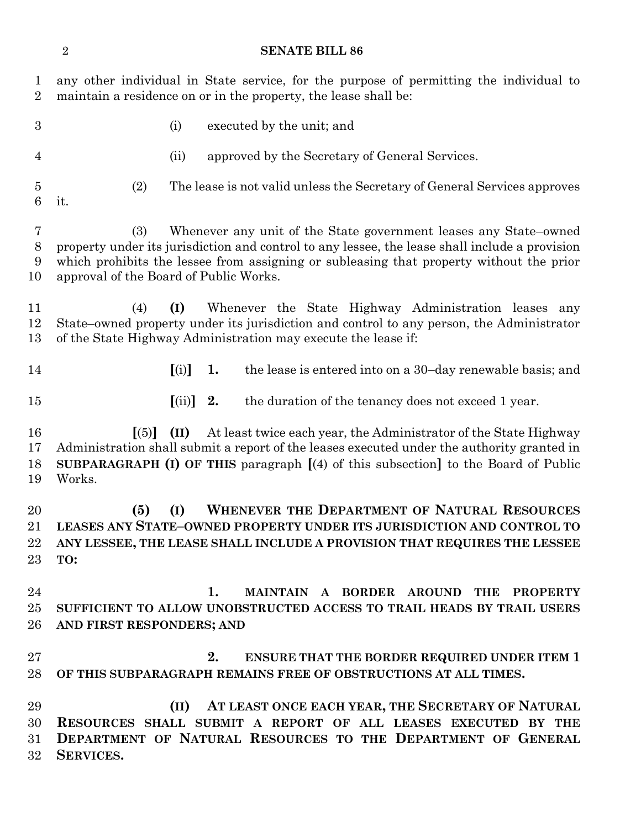# **SENATE BILL 86**

| $\mathbf{1}$<br>$\overline{2}$ | any other individual in State service, for the purpose of permitting the individual to<br>maintain a residence on or in the property, the lease shall be:                                                                                                                                                      |
|--------------------------------|----------------------------------------------------------------------------------------------------------------------------------------------------------------------------------------------------------------------------------------------------------------------------------------------------------------|
| 3                              | (i)<br>executed by the unit; and                                                                                                                                                                                                                                                                               |
| 4                              | approved by the Secretary of General Services.<br>(ii)                                                                                                                                                                                                                                                         |
| $\bf 5$<br>6                   | (2)<br>The lease is not valid unless the Secretary of General Services approves<br>it.                                                                                                                                                                                                                         |
| 7<br>$8\,$<br>9<br>10          | Whenever any unit of the State government leases any State–owned<br>(3)<br>property under its jurisdiction and control to any lessee, the lease shall include a provision<br>which prohibits the lessee from assigning or subleasing that property without the prior<br>approval of the Board of Public Works. |
| 11<br>12<br>13                 | (I)<br>Whenever the State Highway Administration leases<br>(4)<br>any<br>State–owned property under its jurisdiction and control to any person, the Administrator<br>of the State Highway Administration may execute the lease if:                                                                             |
| 14                             | [(i)]<br>1.<br>the lease is entered into on a 30-day renewable basis; and                                                                                                                                                                                                                                      |
| 15                             | 2.<br>$\left[ \mathrm{(ii)}\right]$<br>the duration of the tenancy does not exceed 1 year.                                                                                                                                                                                                                     |
| 16<br>17<br>18<br>19           | At least twice each year, the Administrator of the State Highway<br>$\lceil (5) \rceil$<br>(II)<br>Administration shall submit a report of the leases executed under the authority granted in<br><b>SUBPARAGRAPH (I) OF THIS</b> paragraph $(4)$ of this subsection to the Board of Public<br>Works.           |
| 20<br>21<br>22<br>23           | <b>WHENEVER THE DEPARTMENT OF NATURAL RESOURCES</b><br>(5)<br>(I)<br>LEASES ANY STATE-OWNED PROPERTY UNDER ITS JURISDICTION AND CONTROL TO<br>ANY LESSEE, THE LEASE SHALL INCLUDE A PROVISION THAT REQUIRES THE LESSEE<br>TO:                                                                                  |
| 24<br>25<br>26                 | 1.<br>MAINTAIN A BORDER AROUND<br><b>THE</b><br><b>PROPERTY</b><br>SUFFICIENT TO ALLOW UNOBSTRUCTED ACCESS TO TRAIL HEADS BY TRAIL USERS<br>AND FIRST RESPONDERS; AND                                                                                                                                          |
| 27<br>28                       | 2.<br><b>ENSURE THAT THE BORDER REQUIRED UNDER ITEM 1</b><br>OF THIS SUBPARAGRAPH REMAINS FREE OF OBSTRUCTIONS AT ALL TIMES.                                                                                                                                                                                   |
| 29<br>30<br>31<br>32           | AT LEAST ONCE EACH YEAR, THE SECRETARY OF NATURAL<br>(II)<br>RESOURCES SHALL SUBMIT A REPORT OF ALL LEASES EXECUTED BY THE<br>DEPARTMENT OF NATURAL RESOURCES TO THE DEPARTMENT OF GENERAL<br>SERVICES.                                                                                                        |